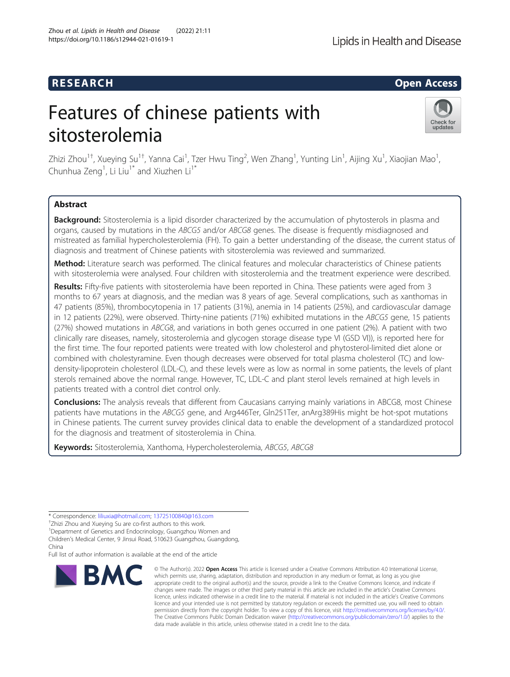# R E S EAR CH Open Access

# Features of chinese patients with sitosterolemia



Zhizi Zhou $^{1\dagger}$ , Xueying Su $^{1\dagger}$ , Yanna Cai $^1$ , Tzer Hwu Ting $^2$ , Wen Zhang $^1$ , Yunting Lin $^1$ , Aijing Xu $^1$ , Xiaojian Mao $^1$ , Chunhua Zeng<sup>1</sup>, Li Liu<sup>1\*</sup> and Xiuzhen Li<sup>1\*</sup>

## Abstract

Background: Sitosterolemia is a lipid disorder characterized by the accumulation of phytosterols in plasma and organs, caused by mutations in the ABCG5 and/or ABCG8 genes. The disease is frequently misdiagnosed and mistreated as familial hypercholesterolemia (FH). To gain a better understanding of the disease, the current status of diagnosis and treatment of Chinese patients with sitosterolemia was reviewed and summarized.

Method: Literature search was performed. The clinical features and molecular characteristics of Chinese patients with sitosterolemia were analysed. Four children with sitosterolemia and the treatment experience were described.

Results: Fifty-five patients with sitosterolemia have been reported in China. These patients were aged from 3 months to 67 years at diagnosis, and the median was 8 years of age. Several complications, such as xanthomas in 47 patients (85%), thrombocytopenia in 17 patients (31%), anemia in 14 patients (25%), and cardiovascular damage in 12 patients (22%), were observed. Thirty-nine patients (71%) exhibited mutations in the ABCG5 gene, 15 patients (27%) showed mutations in ABCG8, and variations in both genes occurred in one patient (2%). A patient with two clinically rare diseases, namely, sitosterolemia and glycogen storage disease type VI (GSD VI)), is reported here for the first time. The four reported patients were treated with low cholesterol and phytosterol-limited diet alone or combined with cholestyramine. Even though decreases were observed for total plasma cholesterol (TC) and lowdensity-lipoprotein cholesterol (LDL-C), and these levels were as low as normal in some patients, the levels of plant sterols remained above the normal range. However, TC, LDL-C and plant sterol levels remained at high levels in patients treated with a control diet control only.

Conclusions: The analysis reveals that different from Caucasians carrying mainly variations in ABCG8, most Chinese patients have mutations in the ABCG5 gene, and Arg446Ter, Gln251Ter, anArg389His might be hot-spot mutations in Chinese patients. The current survey provides clinical data to enable the development of a standardized protocol for the diagnosis and treatment of sitosterolemia in China.

Keywords: Sitosterolemia, Xanthoma, Hypercholesterolemia, ABCG5, ABCG8

\* Correspondence: [liliuxia@hotmail.com;](mailto:liliuxia@hotmail.com) [13725100840@163.com](mailto:13725100840@163.com) †

Full list of author information is available at the end of the article



<sup>©</sup> The Author(s), 2022 **Open Access** This article is licensed under a Creative Commons Attribution 4.0 International License, which permits use, sharing, adaptation, distribution and reproduction in any medium or format, as long as you give appropriate credit to the original author(s) and the source, provide a link to the Creative Commons licence, and indicate if changes were made. The images or other third party material in this article are included in the article's Creative Commons licence, unless indicated otherwise in a credit line to the material. If material is not included in the article's Creative Commons licence and your intended use is not permitted by statutory regulation or exceeds the permitted use, you will need to obtain permission directly from the copyright holder. To view a copy of this licence, visit [http://creativecommons.org/licenses/by/4.0/.](http://creativecommons.org/licenses/by/4.0/) The Creative Commons Public Domain Dedication waiver [\(http://creativecommons.org/publicdomain/zero/1.0/](http://creativecommons.org/publicdomain/zero/1.0/)) applies to the data made available in this article, unless otherwise stated in a credit line to the data.

<sup>&</sup>lt;sup>+</sup>Zhizi Zhou and Xueying Su are co-first authors to this work.

<sup>&</sup>lt;sup>1</sup>Department of Genetics and Endocrinology, Guangzhou Women and Children's Medical Center, 9 Jinsui Road, 510623 Guangzhou, Guangdong, China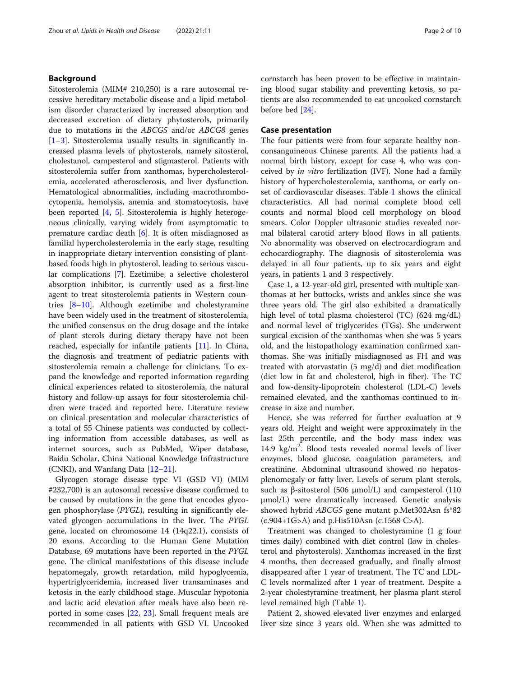### Background

Sitosterolemia (MIM# 210,250) is a rare autosomal recessive hereditary metabolic disease and a lipid metabolism disorder characterized by increased absorption and decreased excretion of dietary phytosterols, primarily due to mutations in the ABCG5 and/or ABCG8 genes [[1](#page-8-0)–[3\]](#page-9-0). Sitosterolemia usually results in significantly increased plasma levels of phytosterols, namely sitosterol, cholestanol, campesterol and stigmasterol. Patients with sitosterolemia suffer from xanthomas, hypercholesterolemia, accelerated atherosclerosis, and liver dysfunction. Hematological abnormalities, including macrothrombocytopenia, hemolysis, anemia and stomatocytosis, have been reported [[4,](#page-9-0) [5](#page-9-0)]. Sitosterolemia is highly heterogeneous clinically, varying widely from asymptomatic to premature cardiac death [[6\]](#page-9-0). It is often misdiagnosed as familial hypercholesterolemia in the early stage, resulting in inappropriate dietary intervention consisting of plantbased foods high in phytosterol, leading to serious vascular complications [[7](#page-9-0)]. Ezetimibe, a selective cholesterol absorption inhibitor, is currently used as a first-line agent to treat sitosterolemia patients in Western countries [[8](#page-9-0)–[10\]](#page-9-0). Although ezetimibe and cholestyramine have been widely used in the treatment of sitosterolemia, the unified consensus on the drug dosage and the intake of plant sterols during dietary therapy have not been reached, especially for infantile patients [\[11](#page-9-0)]. In China, the diagnosis and treatment of pediatric patients with sitosterolemia remain a challenge for clinicians. To expand the knowledge and reported information regarding clinical experiences related to sitosterolemia, the natural history and follow-up assays for four sitosterolemia children were traced and reported here. Literature review on clinical presentation and molecular characteristics of a total of 55 Chinese patients was conducted by collecting information from accessible databases, as well as internet sources, such as PubMed, Wiper database, Baidu Scholar, China National Knowledge Infrastructure (CNKI), and Wanfang Data [\[12](#page-9-0)–[21\]](#page-9-0).

Glycogen storage disease type VI (GSD VI) (MIM #232,700) is an autosomal recessive disease confirmed to be caused by mutations in the gene that encodes glycogen phosphorylase (PYGL), resulting in significantly elevated glycogen accumulations in the liver. The PYGL gene, located on chromosome 14 (14q22.1), consists of 20 exons. According to the Human Gene Mutation Database, 69 mutations have been reported in the PYGL gene. The clinical manifestations of this disease include hepatomegaly, growth retardation, mild hypoglycemia, hypertriglyceridemia, increased liver transaminases and ketosis in the early childhood stage. Muscular hypotonia and lactic acid elevation after meals have also been reported in some cases [[22,](#page-9-0) [23](#page-9-0)]. Small frequent meals are recommended in all patients with GSD VI. Uncooked cornstarch has been proven to be effective in maintaining blood sugar stability and preventing ketosis, so patients are also recommended to eat uncooked cornstarch before bed [\[24\]](#page-9-0).

#### Case presentation

The four patients were from four separate healthy nonconsanguineous Chinese parents. All the patients had a normal birth history, except for case 4, who was conceived by in vitro fertilization (IVF). None had a family history of hypercholesterolemia, xanthoma, or early onset of cardiovascular diseases. Table [1](#page-2-0) shows the clinical characteristics. All had normal complete blood cell counts and normal blood cell morphology on blood smears. Color Doppler ultrasonic studies revealed normal bilateral carotid artery blood flows in all patients. No abnormality was observed on electrocardiogram and echocardiography. The diagnosis of sitosterolemia was delayed in all four patients, up to six years and eight years, in patients 1 and 3 respectively.

Case 1, a 12-year-old girl, presented with multiple xanthomas at her buttocks, wrists and ankles since she was three years old. The girl also exhibited a dramatically high level of total plasma cholesterol (TC) (624 mg/dL) and normal level of triglycerides (TGs). She underwent surgical excision of the xanthomas when she was 5 years old, and the histopathology examination confirmed xanthomas. She was initially misdiagnosed as FH and was treated with atorvastatin (5 mg/d) and diet modification (diet low in fat and cholesterol, high in fiber). The TC and low-density-lipoprotein cholesterol (LDL-C) levels remained elevated, and the xanthomas continued to increase in size and number.

Hence, she was referred for further evaluation at 9 years old. Height and weight were approximately in the last 25th percentile, and the body mass index was 14.9 kg/m<sup>2</sup>. Blood tests revealed normal levels of liver enzymes, blood glucose, coagulation parameters, and creatinine. Abdominal ultrasound showed no hepatosplenomegaly or fatty liver. Levels of serum plant sterols, such as β-sitosterol (506  $\mu$ mol/L) and campesterol (110 µmol/L) were dramatically increased. Genetic analysis showed hybrid ABCG5 gene mutant p.Met302Asn fs\*82  $(c.904+1G>A)$  and p.His510Asn  $(c.1568 C>A)$ .

Treatment was changed to cholestyramine (1 g four times daily) combined with diet control (low in cholesterol and phytosterols). Xanthomas increased in the first 4 months, then decreased gradually, and finally almost disappeared after 1 year of treatment. The TC and LDL-C levels normalized after 1 year of treatment. Despite a 2-year cholestyramine treatment, her plasma plant sterol level remained high (Table [1](#page-2-0)).

Patient 2, showed elevated liver enzymes and enlarged liver size since 3 years old. When she was admitted to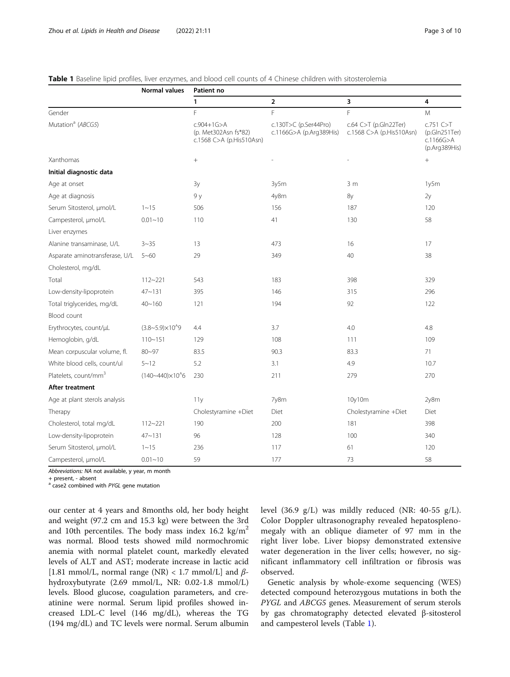<span id="page-2-0"></span>

|  |  |  |  |  | Table 1 Baseline lipid profiles, liver enzymes, and blood cell counts of 4 Chinese children with sitosterolemia |
|--|--|--|--|--|-----------------------------------------------------------------------------------------------------------------|
|--|--|--|--|--|-----------------------------------------------------------------------------------------------------------------|

|                                  | Normal values               | Patient no                                                           |                                                  |                                                         |                                                              |
|----------------------------------|-----------------------------|----------------------------------------------------------------------|--------------------------------------------------|---------------------------------------------------------|--------------------------------------------------------------|
|                                  |                             | 1                                                                    | $\overline{2}$                                   | 3                                                       | 4                                                            |
| Gender                           |                             | F                                                                    | F                                                | F                                                       | M                                                            |
| Mutation <sup>a</sup> (ABCG5)    |                             | $c.904 + 1G > A$<br>(p. Met302Asn fs*82)<br>c.1568 C>A (p.His510Asn) | c.130T>C (p.Ser44Pro)<br>c.1166G>A (p.Arg389His) | $c.64$ C $>$ T (p.Gln22Ter)<br>c.1568 C>A (p.His510Asn) | c.751 C > T<br>(p.GIn251Ter)<br>c.1166G > A<br>(p.Arg389His) |
| Xanthomas                        |                             |                                                                      |                                                  |                                                         |                                                              |
| Initial diagnostic data          |                             |                                                                      |                                                  |                                                         |                                                              |
| Age at onset                     |                             | 3y                                                                   | 3y5m                                             | 3 <sub>m</sub>                                          | 1y5m                                                         |
| Age at diagnosis                 |                             | 9 y                                                                  | 4y8m                                             | 8y                                                      | 2y                                                           |
| Serum Sitosterol, µmol/L         | $1 - 15$                    | 506                                                                  | 156                                              | 187                                                     | 120                                                          |
| Campesterol, µmol/L              | $0.01 - 10$                 | 110                                                                  | 41                                               | 130                                                     | 58                                                           |
| Liver enzymes                    |                             |                                                                      |                                                  |                                                         |                                                              |
| Alanine transaminase, U/L        | $3 - 35$                    | 13                                                                   | 473                                              | 16                                                      | 17                                                           |
| Asparate aminotransferase, U/L   | $5 - 60$                    | 29                                                                   | 349                                              | 40                                                      | 38                                                           |
| Cholesterol, mg/dL               |                             |                                                                      |                                                  |                                                         |                                                              |
| Total                            | $112 - 221$                 | 543                                                                  | 183                                              | 398                                                     | 329                                                          |
| Low-density-lipoprotein          | $47 - 131$                  | 395                                                                  | 146                                              | 315                                                     | 296                                                          |
| Total triglycerides, mg/dL       | $40 - 160$                  | 121                                                                  | 194                                              | 92                                                      | 122                                                          |
| Blood count                      |                             |                                                                      |                                                  |                                                         |                                                              |
| Erythrocytes, count/µL           | $(3.8 - 5.9) \times 10^{9}$ | 4.4                                                                  | 3.7                                              | 4.0                                                     | 4.8                                                          |
| Hemoglobin, g/dL                 | $110 - 151$                 | 129                                                                  | 108                                              | 111                                                     | 109                                                          |
| Mean corpuscular volume, fl.     | $80 - 97$                   | 83.5                                                                 | 90.3                                             | 83.3                                                    | 71                                                           |
| White blood cells, count/ul      | $5 - 12$                    | 5.2                                                                  | 3.1                                              | 4.9                                                     | 10.7                                                         |
| Platelets, count/mm <sup>3</sup> | $(140 - 440) \times 10^{6}$ | 230                                                                  | 211                                              | 279                                                     | 270                                                          |
| After treatment                  |                             |                                                                      |                                                  |                                                         |                                                              |
| Age at plant sterols analysis    |                             | 11y                                                                  | 7y8m                                             | 10y10m                                                  | 2y8m                                                         |
| Therapy                          |                             | Cholestyramine +Diet                                                 | Diet                                             | Cholestyramine +Diet                                    | Diet                                                         |
| Cholesterol, total mg/dL         | $112 - 221$                 | 190                                                                  | 200                                              | 181                                                     | 398                                                          |
| Low-density-lipoprotein          | $47 - 131$                  | 96                                                                   | 128                                              | 100                                                     | 340                                                          |
| Serum Sitosterol, µmol/L         | $1 - 15$                    | 236                                                                  | 117                                              | 61                                                      | 120                                                          |
| Campesterol, µmol/L              | $0.01 - 10$                 | 59                                                                   | 177                                              | 73                                                      | 58                                                           |

Abbreviations: NA not available, y year, m month

+ present, - absent

<sup>a</sup> case2 combined with PYGL gene mutation

our center at 4 years and 8months old, her body height and weight (97.2 cm and 15.3 kg) were between the 3rd and 10th percentiles. The body mass index 16.2 kg/ $m<sup>2</sup>$ was normal. Blood tests showed mild normochromic anemia with normal platelet count, markedly elevated levels of ALT and AST; moderate increase in lactic acid [1.81 mmol/L, normal range (NR) < 1.7 mmol/L] and  $\beta$ hydroxybutyrate (2.69 mmol/L, NR: 0.02-1.8 mmol/L) levels. Blood glucose, coagulation parameters, and creatinine were normal. Serum lipid profiles showed increased LDL-C level (146 mg/dL), whereas the TG (194 mg/dL) and TC levels were normal. Serum albumin level (36.9 g/L) was mildly reduced (NR: 40-55 g/L). Color Doppler ultrasonography revealed hepatosplenomegaly with an oblique diameter of 97 mm in the right liver lobe. Liver biopsy demonstrated extensive water degeneration in the liver cells; however, no significant inflammatory cell infiltration or fibrosis was observed.

Genetic analysis by whole-exome sequencing (WES) detected compound heterozygous mutations in both the PYGL and ABCG5 genes. Measurement of serum sterols by gas chromatography detected elevated β-sitosterol and campesterol levels (Table 1).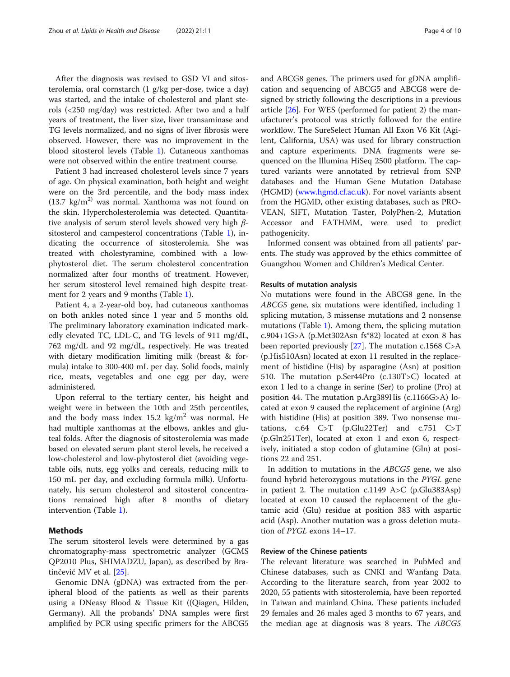After the diagnosis was revised to GSD VI and sitosterolemia, oral cornstarch (1 g/kg per-dose, twice a day) was started, and the intake of cholesterol and plant sterols (<250 mg/day) was restricted. After two and a half years of treatment, the liver size, liver transaminase and TG levels normalized, and no signs of liver fibrosis were observed. However, there was no improvement in the blood sitosterol levels (Table [1](#page-2-0)). Cutaneous xanthomas were not observed within the entire treatment course.

Patient 3 had increased cholesterol levels since 7 years of age. On physical examination, both height and weight were on the 3rd percentile, and the body mass index  $(13.7 \text{ kg/m}^2)$  was normal. Xanthoma was not found on the skin. Hypercholesterolemia was detected. Quantitative analysis of serum sterol levels showed very high  $\beta$ sitosterol and campesterol concentrations (Table [1\)](#page-2-0), indicating the occurrence of sitosterolemia. She was treated with cholestyramine, combined with a lowphytosterol diet. The serum cholesterol concentration normalized after four months of treatment. However, her serum sitosterol level remained high despite treatment for 2 years and 9 months (Table [1\)](#page-2-0).

Patient 4, a 2-year-old boy, had cutaneous xanthomas on both ankles noted since 1 year and 5 months old. The preliminary laboratory examination indicated markedly elevated TC, LDL-C, and TG levels of 911 mg/dL, 762 mg/dL and 92 mg/dL, respectively. He was treated with dietary modification limiting milk (breast & formula) intake to 300-400 mL per day. Solid foods, mainly rice, meats, vegetables and one egg per day, were administered.

Upon referral to the tertiary center, his height and weight were in between the 10th and 25th percentiles, and the body mass index  $15.2 \text{ kg/m}^2$  was normal. He had multiple xanthomas at the elbows, ankles and gluteal folds. After the diagnosis of sitosterolemia was made based on elevated serum plant sterol levels, he received a low-cholesterol and low-phytosterol diet (avoiding vegetable oils, nuts, egg yolks and cereals, reducing milk to 150 mL per day, and excluding formula milk). Unfortunately, his serum cholesterol and sitosterol concentrations remained high after 8 months of dietary intervention (Table [1](#page-2-0)).

#### Methods

The serum sitosterol levels were determined by a gas chromatography-mass spectrometric analyzer (GCMS QP2010 Plus, SHIMADZU, Japan), as described by Bratinčević MV et al. [[25](#page-9-0)].

Genomic DNA (gDNA) was extracted from the peripheral blood of the patients as well as their parents using a DNeasy Blood & Tissue Kit ((Qiagen, Hilden, Germany). All the probands' DNA samples were first amplified by PCR using specific primers for the ABCG5 and ABCG8 genes. The primers used for gDNA amplification and sequencing of ABCG5 and ABCG8 were designed by strictly following the descriptions in a previous article [\[26\]](#page-9-0). For WES (performed for patient 2) the manufacturer's protocol was strictly followed for the entire workflow. The SureSelect Human All Exon V6 Kit (Agilent, California, USA) was used for library construction and capture experiments. DNA fragments were sequenced on the Illumina HiSeq 2500 platform. The captured variants were annotated by retrieval from SNP databases and the Human Gene Mutation Database (HGMD) [\(www.hgmd.cf.ac.uk](http://www.hgmd.cf.ac.uk)). For novel variants absent from the HGMD, other existing databases, such as PRO-VEAN, SIFT, Mutation Taster, PolyPhen-2, Mutation Accessor and FATHMM, were used to predict pathogenicity.

Informed consent was obtained from all patients' parents. The study was approved by the ethics committee of Guangzhou Women and Children's Medical Center.

#### Results of mutation analysis

No mutations were found in the ABCG8 gene. In the ABCG5 gene, six mutations were identified, including 1 splicing mutation, 3 missense mutations and 2 nonsense mutations (Table [1](#page-2-0)). Among them, the splicing mutation c.904+1G>A (p.Met302Asn fs\*82) located at exon 8 has been reported previously [[27](#page-9-0)]. The mutation c.1568 C>A (p.His510Asn) located at exon 11 resulted in the replacement of histidine (His) by asparagine (Asn) at position 510. The mutation p.Ser44Pro (c.130T>C) located at exon 1 led to a change in serine (Ser) to proline (Pro) at position 44. The mutation p.Arg389His (c.1166G>A) located at exon 9 caused the replacement of arginine (Arg) with histidine (His) at position 389. Two nonsense mutations,  $c.64$  C>T (p.Glu22Ter) and  $c.751$  C>T (p.Gln251Ter), located at exon 1 and exon 6, respectively, initiated a stop codon of glutamine (Gln) at positions 22 and 251.

In addition to mutations in the ABCG5 gene, we also found hybrid heterozygous mutations in the PYGL gene in patient 2. The mutation c.1149 A>C (p.Glu383Asp) located at exon 10 caused the replacement of the glutamic acid (Glu) residue at position 383 with aspartic acid (Asp). Another mutation was a gross deletion mutation of PYGL exons 14–17.

#### Review of the Chinese patients

The relevant literature was searched in PubMed and Chinese databases, such as CNKI and Wanfang Data. According to the literature search, from year 2002 to 2020, 55 patients with sitosterolemia, have been reported in Taiwan and mainland China. These patients included 29 females and 26 males aged 3 months to 67 years, and the median age at diagnosis was 8 years. The ABCG5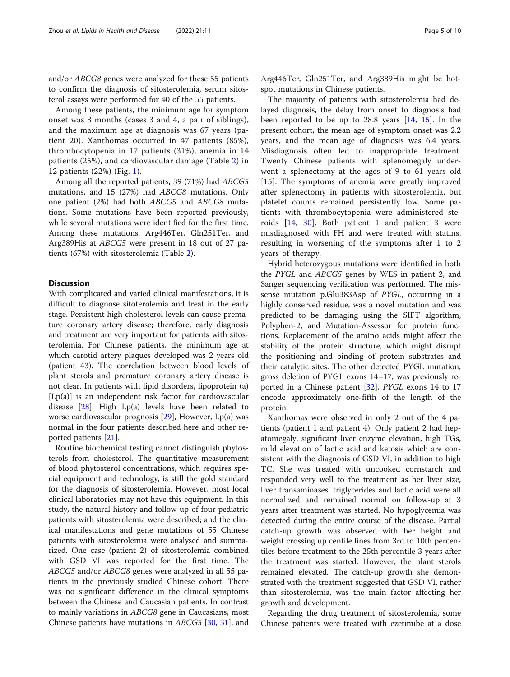and/or ABCG8 genes were analyzed for these 55 patients to confirm the diagnosis of sitosterolemia, serum sitosterol assays were performed for 40 of the 55 patients.

Among these patients, the minimum age for symptom onset was 3 months (cases 3 and 4, a pair of siblings), and the maximum age at diagnosis was 67 years (patient 20). Xanthomas occurred in 47 patients (85%), thrombocytopenia in 17 patients (31%), anemia in 14 patients (25%), and cardiovascular damage (Table [2](#page-5-0)) in 12 patients (22%) (Fig. [1\)](#page-7-0).

Among all the reported patients, 39 (71%) had ABCG5 mutations, and 15 (27%) had ABCG8 mutations. Only one patient (2%) had both ABCG5 and ABCG8 mutations. Some mutations have been reported previously, while several mutations were identified for the first time. Among these mutations, Arg446Ter, Gln251Ter, and Arg389His at ABCG5 were present in 18 out of 27 patients (67%) with sitosterolemia (Table [2\)](#page-5-0).

#### **Discussion**

With complicated and varied clinical manifestations, it is difficult to diagnose sitoterolemia and treat in the early stage. Persistent high cholesterol levels can cause premature coronary artery disease; therefore, early diagnosis and treatment are very important for patients with sitosterolemia. For Chinese patients, the minimum age at which carotid artery plaques developed was 2 years old (patient 43). The correlation between blood levels of plant sterols and premature coronary artery disease is not clear. In patients with lipid disorders, lipoprotein (a)  $[Lp(a)]$  is an independent risk factor for cardiovascular disease  $[28]$  $[28]$  $[28]$ . High Lp(a) levels have been related to worse cardiovascular prognosis [[29\]](#page-9-0), However, Lp(a) was normal in the four patients described here and other reported patients [[21](#page-9-0)].

Routine biochemical testing cannot distinguish phytosterols from cholesterol. The quantitative measurement of blood phytosterol concentrations, which requires special equipment and technology, is still the gold standard for the diagnosis of sitosterolemia. However, most local clinical laboratories may not have this equipment. In this study, the natural history and follow-up of four pediatric patients with sitosterolemia were described; and the clinical manifestations and gene mutations of 55 Chinese patients with sitosterolemia were analysed and summarized. One case (patient 2) of sitosterolemia combined with GSD VI was reported for the first time. The ABCG5 and/or ABCG8 genes were analyzed in all 55 patients in the previously studied Chinese cohort. There was no significant difference in the clinical symptoms between the Chinese and Caucasian patients. In contrast to mainly variations in ABCG8 gene in Caucasians, most Chinese patients have mutations in ABCG5 [\[30,](#page-9-0) [31](#page-9-0)], and

Arg446Ter, Gln251Ter, and Arg389His might be hotspot mutations in Chinese patients.

The majority of patients with sitosterolemia had delayed diagnosis, the delay from onset to diagnosis had been reported to be up to 28.8 years [\[14](#page-9-0), [15\]](#page-9-0). In the present cohort, the mean age of symptom onset was 2.2 years, and the mean age of diagnosis was 6.4 years. Misdiagnosis often led to inappropriate treatment. Twenty Chinese patients with splenomegaly underwent a splenectomy at the ages of 9 to 61 years old [[15\]](#page-9-0). The symptoms of anemia were greatly improved after splenectomy in patients with sitosterolemia, but platelet counts remained persistently low. Some patients with thrombocytopenia were administered steroids [\[14](#page-9-0), [30](#page-9-0)]. Both patient 1 and patient 3 were misdiagnosed with FH and were treated with statins, resulting in worsening of the symptoms after 1 to 2 years of therapy.

Hybrid heterozygous mutations were identified in both the PYGL and ABCG5 genes by WES in patient 2, and Sanger sequencing verification was performed. The missense mutation p.Glu383Asp of PYGL, occurring in a highly conserved residue, was a novel mutation and was predicted to be damaging using the SIFT algorithm, Polyphen-2, and Mutation-Assessor for protein functions. Replacement of the amino acids might affect the stability of the protein structure, which might disrupt the positioning and binding of protein substrates and their catalytic sites. The other detected PYGL mutation, gross deletion of PYGL exons 14–17, was previously reported in a Chinese patient [\[32\]](#page-9-0), PYGL exons 14 to 17 encode approximately one-fifth of the length of the protein.

Xanthomas were observed in only 2 out of the 4 patients (patient 1 and patient 4). Only patient 2 had hepatomegaly, significant liver enzyme elevation, high TGs, mild elevation of lactic acid and ketosis which are consistent with the diagnosis of GSD VI, in addition to high TC. She was treated with uncooked cornstarch and responded very well to the treatment as her liver size, liver transaminases, triglycerides and lactic acid were all normalized and remained normal on follow-up at 3 years after treatment was started. No hypoglycemia was detected during the entire course of the disease. Partial catch-up growth was observed with her height and weight crossing up centile lines from 3rd to 10th percentiles before treatment to the 25th percentile 3 years after the treatment was started. However, the plant sterols remained elevated. The catch-up growth she demonstrated with the treatment suggested that GSD VI, rather than sitosterolemia, was the main factor affecting her growth and development.

Regarding the drug treatment of sitosterolemia, some Chinese patients were treated with ezetimibe at a dose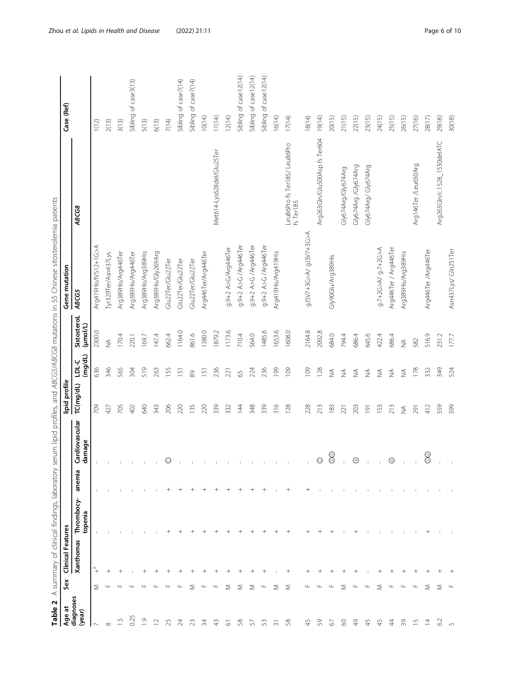<span id="page-5-0"></span>

| Table 2             |          | A summary of clinical findings, laboratory |                                  | ser        |                      |                              |              |               | um lipid profiles, and ABCG5/ABCG8 mutations in 55 Chinese sitosterolemia patients |                                           |                       |
|---------------------|----------|--------------------------------------------|----------------------------------|------------|----------------------|------------------------------|--------------|---------------|------------------------------------------------------------------------------------|-------------------------------------------|-----------------------|
| diagnoses<br>Age at | Sex      | <b>Clinical Features</b><br>Xanthomas      | Thrombocy-                       | ā<br>anemi | rdiovascular<br>ඊ    | lipid profile<br>TC(mg/dL)   | <b>LDL-C</b> | SistosteroL   | Gene mutation<br><b>ABCG5</b>                                                      | ABCG8                                     | Case (Ref)            |
| (year)              |          |                                            | topenia                          |            | mage<br>굥            |                              | (mg/dL)      | (µmol/L)      |                                                                                    |                                           |                       |
|                     | Σ        | ື+                                         |                                  |            |                      | 709                          | 636          | 2300.0        | Arg419His/IVS12+1G>A                                                               |                                           | 1(12)                 |
| $\infty$            | ш        | $\hspace{0.1mm} +$                         |                                  |            |                      | 427                          | 346          | $\frac{1}{2}$ | Tyr329Ter/Asn437Lys                                                                |                                           | 2(13)                 |
| $\frac{5}{1}$       | Щ        | $\hspace{0.1mm} +\hspace{0.1mm}$           |                                  |            |                      | 705                          | 565          | 170.4         | Arg389His/Arg446Ter                                                                |                                           | 3(13)                 |
| 0.25                | Щ        |                                            |                                  |            |                      | 402                          | 304          | 220.1         | Arg389His/Arg446Ter                                                                |                                           | Sibling of case3(13)  |
| $\overline{0}$      | $\Box$   | $^+$                                       |                                  |            |                      | 640                          | 519          | 169.7         | Arg389His/Arg389His                                                                |                                           | 5(13)                 |
| $\supseteq$         | ш        |                                            |                                  |            | $\sim 10$            | 343                          | 263          | 147.4         | Arg389His/Gly269Arg                                                                |                                           | 6(13)                 |
| 25                  | $\sqcup$ |                                            | $^+$                             | $^+$       | $\ominus$            | 206                          | 155          | 662.4         | Glu22Ter/Glu22Ter                                                                  |                                           | 7(14)                 |
| 24                  | ш        |                                            | $\,{}^+$                         | $^+$       |                      | 220                          | 151          | 1164.0        | Glu22Ter/Glu22Ter                                                                  |                                           | Sibling of case7(14)  |
|                     | ⋝        |                                            | $^+$                             | $^+$       | $\mathbb{L}$         | 135                          | 89           | 861.6         | Glu22Ter/Glu22Ter                                                                  |                                           | Sibling of case7(14)  |
| 24                  | ப        |                                            | $^+$                             | $^+$       |                      | 220                          | 151          | 1380.0        | Arg446Ter/Arg446Ter                                                                |                                           | 10(14)                |
|                     | ш        | $^+$                                       |                                  |            |                      | 339                          | 236          | 1879.2        |                                                                                    | Met614-Lys628del/Glu25Ter                 | 11(14)                |
| 5                   | Σ        | $^{+}$                                     | $^+$                             | $^{+}$     |                      | 332                          | 221          | 1173.6        | g.9+2 A>G/Arg446Ter                                                                |                                           | 12(14)                |
| 58                  | Σ        |                                            | $^{+}$                           | $^{+}$     |                      | $\overline{4}$               | 65           | 710.4         | g.9+2 A>G/Arg446Ter                                                                |                                           | Sibling of case12(14) |
| 57                  | Σ        | $^+$                                       | $^{+}$                           | $^{+}$     |                      | 348                          | 224          | 564.0         | g.9+2 A>G /Arg446Ter                                                               |                                           | Sibling of case12(14) |
| S                   | ╙        | $\hspace{0.1mm} +\hspace{0.1mm}$           | $^+$                             | $^+$       |                      | 339                          | 236          | 1485.6        | 9.9+2 A>G /Arg446Ter                                                               |                                           | Sibling of case12(14) |
| 5                   | Σ        |                                            |                                  |            |                      | 316                          | 199          | 1653.6        | Arg419His/Arg419His                                                                |                                           | 16(14)                |
| 58                  | Σ        |                                            | $^{+}$                           | $^{+}$     |                      | 128                          | 109          | 1608.0        |                                                                                    | Leu86Pro fs Ter185/ Leu86Pro<br>fs Ter185 | 17(14)                |
|                     |          |                                            | $\hspace{0.1mm} +\hspace{0.1mm}$ | $^+$       |                      | 228                          | 109          | 2164.8        |                                                                                    |                                           | 18(14)                |
| S                   | ш        |                                            | $^+$                             |            | $\odot$              | 213                          | 128          | 2092.8        |                                                                                    | Arg263GIn/Glu500Asp fs Ter604             | 19(14)                |
| 2                   | ш.       |                                            | $^+$                             |            | ⊚<br>$\breve{\odot}$ | 183                          | $\lessgtr$   | 684.0         | Gly90Glu/Arg389His                                                                 |                                           | 20(15)                |
| 8                   | ⋝        |                                            |                                  |            | $\mathbf{1}$         | 221                          | $\lessgtr$   | 794.4         |                                                                                    | Gly674Arg/Gly674Arg                       | 21(15)                |
| Q<br>4              | ட        | $^+$                                       | $^+$                             |            | $\bigodot$           | 203                          | $\lessgtr$   | 686.4         |                                                                                    | Gly674Arg /Gly674Arg                      | 22(15)                |
| 45                  | ப        |                                            |                                  |            |                      | $\overline{191}$             | $\lessgtr$   | 645.6         |                                                                                    | GIy674Arg/ GIy674Arg                      | 23(15)                |
| 45                  | Σ        | $^+$                                       |                                  |            |                      | 153                          | $\lessgtr$   | 422.4         | 9.7+2G>A g.7+2G>A                                                                  |                                           | 24(15)                |
| 4                   | ш        | $^{+}$                                     |                                  |            | $_{\oplus}$          | 213                          | $\lessgtr$   | 686.4         | Arg446Ter / Arg446Ter                                                              |                                           | 25(15)                |
| 39                  | ட        |                                            |                                  |            |                      | $\stackrel{\triangle}{\geq}$ | $\lessgtr$   | $\lessgtr$    | Arg389His/Arg389His                                                                |                                           | 26(15)                |
| 5ī                  | ப        |                                            | $\mathbf{I}$                     |            |                      | 291                          | 178          | 582           |                                                                                    | Arg146Ter /Leu650Arg                      | 27(16)                |
| $\bar{4}$           | ⋝        |                                            | $^{+}$                           |            | ⊚<br>Ŏ               | 412                          | 332          | 516.9         | Arg446Ter /Arg446Ter                                                               |                                           | 28(17)                |
| 62                  | Σ        |                                            | $\mathbf{I}$                     |            |                      | 559                          | 349          | 231.2         |                                                                                    | Arg263Gln/c.1528_1530delATC               | 29(18)                |
| 5                   | щ        |                                            |                                  |            | $\mathbf{1}$         | 599                          | 524          | 1777          | Asn437Lys/ Gln251Ter                                                               |                                           | 30(18)                |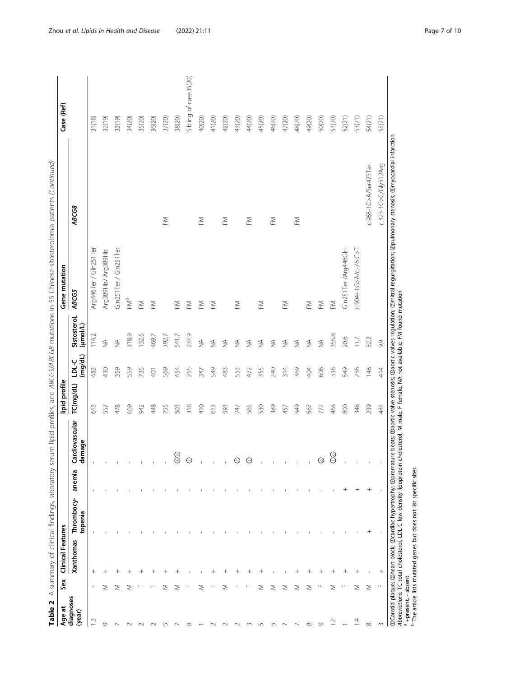| Sibling<br>54(21)<br>55(21)<br>37(20)<br>38(20)<br>52(21)<br>31(18)<br>32(19)<br>33(19)<br>35(20)<br>36(20)<br>40(20)<br>41(20)<br>42(20)<br>43(20)<br>45(20)<br>47(20)<br>48(20)<br>49(20)<br>50(20)<br>51(20)<br>53(21)<br>34(20)<br>44(20)<br>46(20)<br>c.323-1G>C/Gly512Arg<br>c.965-1G>A/Ser473Ter<br>ABCG8<br>ΣĚ<br>ΣĚ<br>$\mathop{\geq}$<br>$\geqq$<br>ΣĚ<br>ΣĚ<br>c.904+1G>A/c.-76 C>T<br>Arg446Ter / Gln251Ter<br>Gln251Ter /Arg446Gln<br>Gln251Ter / Gln251Ter<br>Arg389His/ Arg389His<br><b>ABCG5</b><br>FMP<br>$\mathop{\geq}$<br>$\mathop{\leq}_{\mathop{\vphantom{a}}}\nolimits$<br>ΣĚ<br>ΣĚ<br>ΣĚ<br>$\mathop{\geq}$<br>$\mathop{\geq}$<br>$\mathop{\cong}_{}$<br>ΣĚ<br>$\mathop{\geq}$<br>ΕM<br>ΣĚ<br>SistosteroL<br>(µmol/L)<br>318.9<br>132.5<br>237.9<br>355.8<br>469.7<br>392.7<br>541.7<br>114.2<br>20.6<br>32.2<br>11.7<br>$\stackrel{\triangle}{\geq}$<br>$\lessgtr$<br>$\lessgtr$<br>$\lessgtr$<br>$\lessgtr$<br>$\lessgtr$<br>$\stackrel{\triangle}{\geq}$<br>$\lessgtr$<br>$\stackrel{\triangle}{\geq}$<br>$\lessgtr$<br>$\stackrel{\triangle}{\geq}$<br>$\stackrel{\triangle}{\geq}$<br>9.9<br>$\stackrel{\triangle}{\geq}$<br>(mg/dL)<br><b>LDL-C</b><br>549<br>146<br>414<br>483<br>430<br>359<br>559<br>735<br>569<br>255<br>549<br>355<br>240<br>314<br>369<br>404<br>606<br>338<br>256<br>454<br>347<br>483<br>553<br>472<br>401<br>TC(mg/dL)<br>348<br>239<br>613<br>478<br>669<br>448<br>755<br>318<br>410<br>613<br>565<br>530<br>389<br>549<br>468<br>800<br>483<br>942<br>503<br>593<br>772<br>747<br>457<br>567<br>557<br>Cardiovascular<br>damage<br>$\circledcirc$<br>$\circledcirc$<br>$\odot$<br>$\odot$<br>$\ominus$<br>$\circledcirc$<br>Î.<br>$\bar{1}$<br>$\bar{\phantom{a}}$<br>$\mathbf{I}$<br>$\mathbf{I}$<br>$\mathbf I$<br>f,<br>anemia<br>$\hspace{0.1mm} +$<br>$^{+}$<br>$^+$<br>Thrombocy-<br>topenia<br>$^{+}$<br>Xanthomas<br>$^{+}$<br>$^{+}$<br>$^{+}$<br>$\hspace{0.1mm} +\hspace{0.1mm}$<br>$\,{}^+$<br>$^+$<br>$\hspace{0.1mm} +\hspace{0.1mm}$<br>$^+$<br>Щ<br>Σ<br>Σ<br>Σ<br>Σ<br>Щ<br>⋝<br>⋝<br>Щ<br>⋝<br>⋝<br>Σ<br>Σ<br>⋝<br>Σ<br>Σ<br>Σ<br>Щ<br>Щ<br>Σ<br>щ<br>щ<br>ப<br>ш<br>diagnoses<br>(year)<br>$\frac{1}{2}$<br>$\overline{4}$<br>$\approx$<br>$\sigma$<br>Q<br>$\infty$<br>$\infty$<br>$\sim$<br>$\cup$<br>$\infty$<br>$\sim$<br>$\sim$<br>$\sim$<br>$\infty$<br>$\sqrt{ }$<br>5<br>$\sim$<br>$\overline{ }$<br>$\sim$<br>$\sim$<br>$\sim$ | Table 2<br>Age at | A summary of clinical findings, laboratory serum lipid profiles, and ABCG5/ABCG8 mutations in 55 Chinese sitosterolemia patients (Continued)<br>Sex | Clinical Features |  | lipid profile |  | Gene mutation | Case (Ref)    |
|---------------------------------------------------------------------------------------------------------------------------------------------------------------------------------------------------------------------------------------------------------------------------------------------------------------------------------------------------------------------------------------------------------------------------------------------------------------------------------------------------------------------------------------------------------------------------------------------------------------------------------------------------------------------------------------------------------------------------------------------------------------------------------------------------------------------------------------------------------------------------------------------------------------------------------------------------------------------------------------------------------------------------------------------------------------------------------------------------------------------------------------------------------------------------------------------------------------------------------------------------------------------------------------------------------------------------------------------------------------------------------------------------------------------------------------------------------------------------------------------------------------------------------------------------------------------------------------------------------------------------------------------------------------------------------------------------------------------------------------------------------------------------------------------------------------------------------------------------------------------------------------------------------------------------------------------------------------------------------------------------------------------------------------------------------------------------------------------------------------------------------------------------------------------------------------------------------------------------------------------------------------------------------------------------------------------------------------------------------------------------------------------------------------------|-------------------|-----------------------------------------------------------------------------------------------------------------------------------------------------|-------------------|--|---------------|--|---------------|---------------|
|                                                                                                                                                                                                                                                                                                                                                                                                                                                                                                                                                                                                                                                                                                                                                                                                                                                                                                                                                                                                                                                                                                                                                                                                                                                                                                                                                                                                                                                                                                                                                                                                                                                                                                                                                                                                                                                                                                                                                                                                                                                                                                                                                                                                                                                                                                                                                                                                                     |                   |                                                                                                                                                     |                   |  |               |  |               |               |
|                                                                                                                                                                                                                                                                                                                                                                                                                                                                                                                                                                                                                                                                                                                                                                                                                                                                                                                                                                                                                                                                                                                                                                                                                                                                                                                                                                                                                                                                                                                                                                                                                                                                                                                                                                                                                                                                                                                                                                                                                                                                                                                                                                                                                                                                                                                                                                                                                     |                   |                                                                                                                                                     |                   |  |               |  |               |               |
|                                                                                                                                                                                                                                                                                                                                                                                                                                                                                                                                                                                                                                                                                                                                                                                                                                                                                                                                                                                                                                                                                                                                                                                                                                                                                                                                                                                                                                                                                                                                                                                                                                                                                                                                                                                                                                                                                                                                                                                                                                                                                                                                                                                                                                                                                                                                                                                                                     |                   |                                                                                                                                                     |                   |  |               |  |               |               |
|                                                                                                                                                                                                                                                                                                                                                                                                                                                                                                                                                                                                                                                                                                                                                                                                                                                                                                                                                                                                                                                                                                                                                                                                                                                                                                                                                                                                                                                                                                                                                                                                                                                                                                                                                                                                                                                                                                                                                                                                                                                                                                                                                                                                                                                                                                                                                                                                                     |                   |                                                                                                                                                     |                   |  |               |  |               |               |
|                                                                                                                                                                                                                                                                                                                                                                                                                                                                                                                                                                                                                                                                                                                                                                                                                                                                                                                                                                                                                                                                                                                                                                                                                                                                                                                                                                                                                                                                                                                                                                                                                                                                                                                                                                                                                                                                                                                                                                                                                                                                                                                                                                                                                                                                                                                                                                                                                     |                   |                                                                                                                                                     |                   |  |               |  |               |               |
|                                                                                                                                                                                                                                                                                                                                                                                                                                                                                                                                                                                                                                                                                                                                                                                                                                                                                                                                                                                                                                                                                                                                                                                                                                                                                                                                                                                                                                                                                                                                                                                                                                                                                                                                                                                                                                                                                                                                                                                                                                                                                                                                                                                                                                                                                                                                                                                                                     |                   |                                                                                                                                                     |                   |  |               |  |               |               |
|                                                                                                                                                                                                                                                                                                                                                                                                                                                                                                                                                                                                                                                                                                                                                                                                                                                                                                                                                                                                                                                                                                                                                                                                                                                                                                                                                                                                                                                                                                                                                                                                                                                                                                                                                                                                                                                                                                                                                                                                                                                                                                                                                                                                                                                                                                                                                                                                                     |                   |                                                                                                                                                     |                   |  |               |  |               |               |
|                                                                                                                                                                                                                                                                                                                                                                                                                                                                                                                                                                                                                                                                                                                                                                                                                                                                                                                                                                                                                                                                                                                                                                                                                                                                                                                                                                                                                                                                                                                                                                                                                                                                                                                                                                                                                                                                                                                                                                                                                                                                                                                                                                                                                                                                                                                                                                                                                     |                   |                                                                                                                                                     |                   |  |               |  |               |               |
|                                                                                                                                                                                                                                                                                                                                                                                                                                                                                                                                                                                                                                                                                                                                                                                                                                                                                                                                                                                                                                                                                                                                                                                                                                                                                                                                                                                                                                                                                                                                                                                                                                                                                                                                                                                                                                                                                                                                                                                                                                                                                                                                                                                                                                                                                                                                                                                                                     |                   |                                                                                                                                                     |                   |  |               |  |               |               |
|                                                                                                                                                                                                                                                                                                                                                                                                                                                                                                                                                                                                                                                                                                                                                                                                                                                                                                                                                                                                                                                                                                                                                                                                                                                                                                                                                                                                                                                                                                                                                                                                                                                                                                                                                                                                                                                                                                                                                                                                                                                                                                                                                                                                                                                                                                                                                                                                                     |                   |                                                                                                                                                     |                   |  |               |  |               | of case35(20) |
|                                                                                                                                                                                                                                                                                                                                                                                                                                                                                                                                                                                                                                                                                                                                                                                                                                                                                                                                                                                                                                                                                                                                                                                                                                                                                                                                                                                                                                                                                                                                                                                                                                                                                                                                                                                                                                                                                                                                                                                                                                                                                                                                                                                                                                                                                                                                                                                                                     |                   |                                                                                                                                                     |                   |  |               |  |               |               |
|                                                                                                                                                                                                                                                                                                                                                                                                                                                                                                                                                                                                                                                                                                                                                                                                                                                                                                                                                                                                                                                                                                                                                                                                                                                                                                                                                                                                                                                                                                                                                                                                                                                                                                                                                                                                                                                                                                                                                                                                                                                                                                                                                                                                                                                                                                                                                                                                                     |                   |                                                                                                                                                     |                   |  |               |  |               |               |
|                                                                                                                                                                                                                                                                                                                                                                                                                                                                                                                                                                                                                                                                                                                                                                                                                                                                                                                                                                                                                                                                                                                                                                                                                                                                                                                                                                                                                                                                                                                                                                                                                                                                                                                                                                                                                                                                                                                                                                                                                                                                                                                                                                                                                                                                                                                                                                                                                     |                   |                                                                                                                                                     |                   |  |               |  |               |               |
|                                                                                                                                                                                                                                                                                                                                                                                                                                                                                                                                                                                                                                                                                                                                                                                                                                                                                                                                                                                                                                                                                                                                                                                                                                                                                                                                                                                                                                                                                                                                                                                                                                                                                                                                                                                                                                                                                                                                                                                                                                                                                                                                                                                                                                                                                                                                                                                                                     |                   |                                                                                                                                                     |                   |  |               |  |               |               |
|                                                                                                                                                                                                                                                                                                                                                                                                                                                                                                                                                                                                                                                                                                                                                                                                                                                                                                                                                                                                                                                                                                                                                                                                                                                                                                                                                                                                                                                                                                                                                                                                                                                                                                                                                                                                                                                                                                                                                                                                                                                                                                                                                                                                                                                                                                                                                                                                                     |                   |                                                                                                                                                     |                   |  |               |  |               |               |
|                                                                                                                                                                                                                                                                                                                                                                                                                                                                                                                                                                                                                                                                                                                                                                                                                                                                                                                                                                                                                                                                                                                                                                                                                                                                                                                                                                                                                                                                                                                                                                                                                                                                                                                                                                                                                                                                                                                                                                                                                                                                                                                                                                                                                                                                                                                                                                                                                     |                   |                                                                                                                                                     |                   |  |               |  |               |               |
|                                                                                                                                                                                                                                                                                                                                                                                                                                                                                                                                                                                                                                                                                                                                                                                                                                                                                                                                                                                                                                                                                                                                                                                                                                                                                                                                                                                                                                                                                                                                                                                                                                                                                                                                                                                                                                                                                                                                                                                                                                                                                                                                                                                                                                                                                                                                                                                                                     |                   |                                                                                                                                                     |                   |  |               |  |               |               |
|                                                                                                                                                                                                                                                                                                                                                                                                                                                                                                                                                                                                                                                                                                                                                                                                                                                                                                                                                                                                                                                                                                                                                                                                                                                                                                                                                                                                                                                                                                                                                                                                                                                                                                                                                                                                                                                                                                                                                                                                                                                                                                                                                                                                                                                                                                                                                                                                                     |                   |                                                                                                                                                     |                   |  |               |  |               |               |
|                                                                                                                                                                                                                                                                                                                                                                                                                                                                                                                                                                                                                                                                                                                                                                                                                                                                                                                                                                                                                                                                                                                                                                                                                                                                                                                                                                                                                                                                                                                                                                                                                                                                                                                                                                                                                                                                                                                                                                                                                                                                                                                                                                                                                                                                                                                                                                                                                     |                   |                                                                                                                                                     |                   |  |               |  |               |               |
|                                                                                                                                                                                                                                                                                                                                                                                                                                                                                                                                                                                                                                                                                                                                                                                                                                                                                                                                                                                                                                                                                                                                                                                                                                                                                                                                                                                                                                                                                                                                                                                                                                                                                                                                                                                                                                                                                                                                                                                                                                                                                                                                                                                                                                                                                                                                                                                                                     |                   |                                                                                                                                                     |                   |  |               |  |               |               |
|                                                                                                                                                                                                                                                                                                                                                                                                                                                                                                                                                                                                                                                                                                                                                                                                                                                                                                                                                                                                                                                                                                                                                                                                                                                                                                                                                                                                                                                                                                                                                                                                                                                                                                                                                                                                                                                                                                                                                                                                                                                                                                                                                                                                                                                                                                                                                                                                                     |                   |                                                                                                                                                     |                   |  |               |  |               |               |
|                                                                                                                                                                                                                                                                                                                                                                                                                                                                                                                                                                                                                                                                                                                                                                                                                                                                                                                                                                                                                                                                                                                                                                                                                                                                                                                                                                                                                                                                                                                                                                                                                                                                                                                                                                                                                                                                                                                                                                                                                                                                                                                                                                                                                                                                                                                                                                                                                     |                   |                                                                                                                                                     |                   |  |               |  |               |               |
|                                                                                                                                                                                                                                                                                                                                                                                                                                                                                                                                                                                                                                                                                                                                                                                                                                                                                                                                                                                                                                                                                                                                                                                                                                                                                                                                                                                                                                                                                                                                                                                                                                                                                                                                                                                                                                                                                                                                                                                                                                                                                                                                                                                                                                                                                                                                                                                                                     |                   |                                                                                                                                                     |                   |  |               |  |               |               |
|                                                                                                                                                                                                                                                                                                                                                                                                                                                                                                                                                                                                                                                                                                                                                                                                                                                                                                                                                                                                                                                                                                                                                                                                                                                                                                                                                                                                                                                                                                                                                                                                                                                                                                                                                                                                                                                                                                                                                                                                                                                                                                                                                                                                                                                                                                                                                                                                                     |                   |                                                                                                                                                     |                   |  |               |  |               |               |
|                                                                                                                                                                                                                                                                                                                                                                                                                                                                                                                                                                                                                                                                                                                                                                                                                                                                                                                                                                                                                                                                                                                                                                                                                                                                                                                                                                                                                                                                                                                                                                                                                                                                                                                                                                                                                                                                                                                                                                                                                                                                                                                                                                                                                                                                                                                                                                                                                     |                   |                                                                                                                                                     |                   |  |               |  |               |               |
|                                                                                                                                                                                                                                                                                                                                                                                                                                                                                                                                                                                                                                                                                                                                                                                                                                                                                                                                                                                                                                                                                                                                                                                                                                                                                                                                                                                                                                                                                                                                                                                                                                                                                                                                                                                                                                                                                                                                                                                                                                                                                                                                                                                                                                                                                                                                                                                                                     |                   |                                                                                                                                                     |                   |  |               |  |               |               |

①Carotid plaque; ②heart block; ③cardiac hypertrophy; ④premature beats; ⑤aortic valve stenosis; ⑥aortic valves regulation; ⑦mitral regurgitation; ⑧pulmonary stenosis; ⑨myocardial infarction 5)<br>^ ∽  $\frac{2}{9}$ Ď. ٦Ŗ. Abbreviations: TC total cholesterol, LDL-C low density lipoprotein cholesterol, M male, F female, NA not available, FM found mutation +present, - absent

The article lists mutated genes but does not list specific sites

a c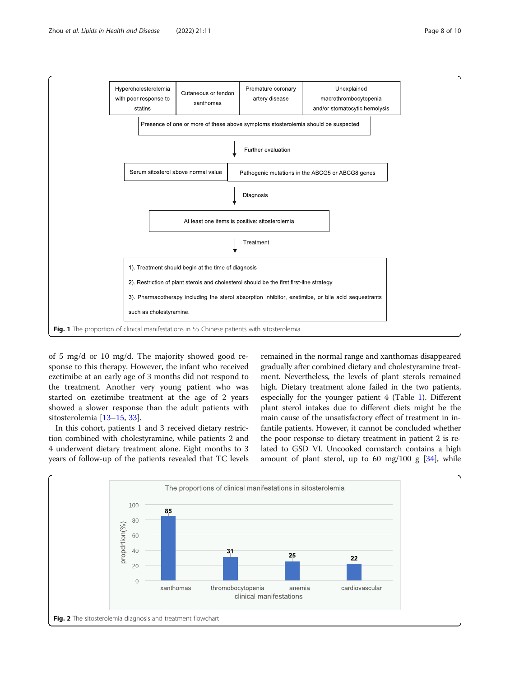<span id="page-7-0"></span>

of 5 mg/d or 10 mg/d. The majority showed good response to this therapy. However, the infant who received ezetimibe at an early age of 3 months did not respond to the treatment. Another very young patient who was started on ezetimibe treatment at the age of 2 years showed a slower response than the adult patients with sitosterolemia [[13](#page-9-0)–[15](#page-9-0), [33](#page-9-0)].

In this cohort, patients 1 and 3 received dietary restriction combined with cholestyramine, while patients 2 and 4 underwent dietary treatment alone. Eight months to 3 years of follow-up of the patients revealed that TC levels

remained in the normal range and xanthomas disappeared gradually after combined dietary and cholestyramine treatment. Nevertheless, the levels of plant sterols remained high. Dietary treatment alone failed in the two patients, especially for the younger patient 4 (Table [1](#page-2-0)). Different plant sterol intakes due to different diets might be the main cause of the unsatisfactory effect of treatment in infantile patients. However, it cannot be concluded whether the poor response to dietary treatment in patient 2 is related to GSD VI. Uncooked cornstarch contains a high amount of plant sterol, up to 60 mg/100 g  $[34]$  $[34]$  $[34]$ , while

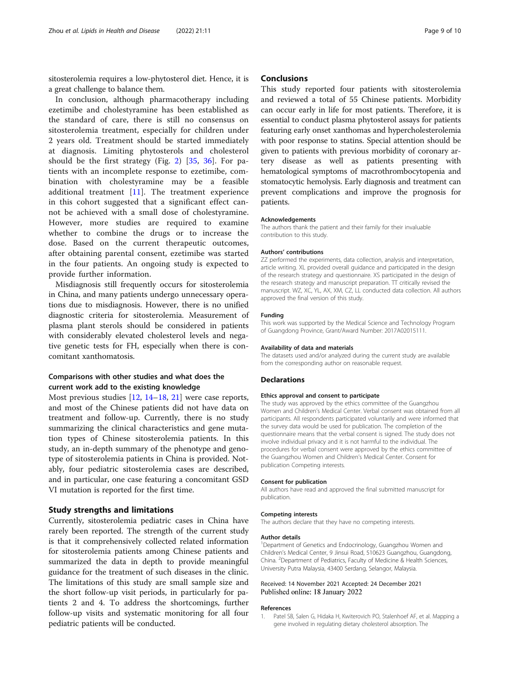<span id="page-8-0"></span>sitosterolemia requires a low-phytosterol diet. Hence, it is a great challenge to balance them.

In conclusion, although pharmacotherapy including ezetimibe and cholestyramine has been established as the standard of care, there is still no consensus on sitosterolemia treatment, especially for children under 2 years old. Treatment should be started immediately at diagnosis. Limiting phytosterols and cholesterol should be the first strategy (Fig. [2](#page-7-0)) [\[35](#page-9-0), [36\]](#page-9-0). For patients with an incomplete response to ezetimibe, combination with cholestyramine may be a feasible additional treatment [[11\]](#page-9-0). The treatment experience in this cohort suggested that a significant effect cannot be achieved with a small dose of cholestyramine. However, more studies are required to examine whether to combine the drugs or to increase the dose. Based on the current therapeutic outcomes, after obtaining parental consent, ezetimibe was started in the four patients. An ongoing study is expected to provide further information.

Misdiagnosis still frequently occurs for sitosterolemia in China, and many patients undergo unnecessary operations due to misdiagnosis. However, there is no unified diagnostic criteria for sitosterolemia. Measurement of plasma plant sterols should be considered in patients with considerably elevated cholesterol levels and negative genetic tests for FH, especially when there is concomitant xanthomatosis.

### Comparisons with other studies and what does the current work add to the existing knowledge

Most previous studies [[12,](#page-9-0) [14](#page-9-0)–[18,](#page-9-0) [21\]](#page-9-0) were case reports, and most of the Chinese patients did not have data on treatment and follow-up. Currently, there is no study summarizing the clinical characteristics and gene mutation types of Chinese sitosterolemia patients. In this study, an in-depth summary of the phenotype and genotype of sitosterolemia patients in China is provided. Notably, four pediatric sitosterolemia cases are described, and in particular, one case featuring a concomitant GSD VI mutation is reported for the first time.

#### Study strengths and limitations

Currently, sitosterolemia pediatric cases in China have rarely been reported. The strength of the current study is that it comprehensively collected related information for sitosterolemia patients among Chinese patients and summarized the data in depth to provide meaningful guidance for the treatment of such diseases in the clinic. The limitations of this study are small sample size and the short follow-up visit periods, in particularly for patients 2 and 4. To address the shortcomings, further follow-up visits and systematic monitoring for all four pediatric patients will be conducted.

#### **Conclusions**

This study reported four patients with sitosterolemia and reviewed a total of 55 Chinese patients. Morbidity can occur early in life for most patients. Therefore, it is essential to conduct plasma phytosterol assays for patients featuring early onset xanthomas and hypercholesterolemia with poor response to statins. Special attention should be given to patients with previous morbidity of coronary artery disease as well as patients presenting with hematological symptoms of macrothrombocytopenia and stomatocytic hemolysis. Early diagnosis and treatment can prevent complications and improve the prognosis for patients.

#### Acknowledgements

The authors thank the patient and their family for their invaluable contribution to this study.

#### Authors' contributions

ZZ performed the experiments, data collection, analysis and interpretation, article writing. XL provided overall guidance and participated in the design of the research strategy and questionnaire. XS participated in the design of the research strategy and manuscript preparation. TT critically revised the manuscript. WZ, XC, YL, AX, XM, CZ, LL conducted data collection. All authors approved the final version of this study.

#### Funding

This work was supported by the Medical Science and Technology Program of Guangdong Province, Grant/Award Number: 2017A02015111.

#### Availability of data and materials

The datasets used and/or analyzed during the current study are available from the corresponding author on reasonable request.

#### **Declarations**

#### Ethics approval and consent to participate

The study was approved by the ethics committee of the Guangzhou Women and Children's Medical Center. Verbal consent was obtained from all participants. All respondents participated voluntarily and were informed that the survey data would be used for publication. The completion of the questionnaire means that the verbal consent is signed. The study does not involve individual privacy and it is not harmful to the individual. The procedures for verbal consent were approved by the ethics committee of the Guangzhou Women and Children's Medical Center. Consent for publication Competing interests.

#### Consent for publication

All authors have read and approved the final submitted manuscript for publication.

#### Competing interests

The authors declare that they have no competing interests.

#### Author details

<sup>1</sup>Department of Genetics and Endocrinology, Guangzhou Women and Children's Medical Center, 9 Jinsui Road, 510623 Guangzhou, Guangdong, China. <sup>2</sup> Department of Pediatrics, Faculty of Medicine & Health Sciences University Putra Malaysia, 43400 Serdang, Selangor, Malaysia.

#### Received: 14 November 2021 Accepted: 24 December 2021 Published online: 18 January 2022

#### References

1. Patel SB, Salen G, Hidaka H, Kwiterovich PO, Stalenhoef AF, et al. Mapping a gene involved in regulating dietary cholesterol absorption. The